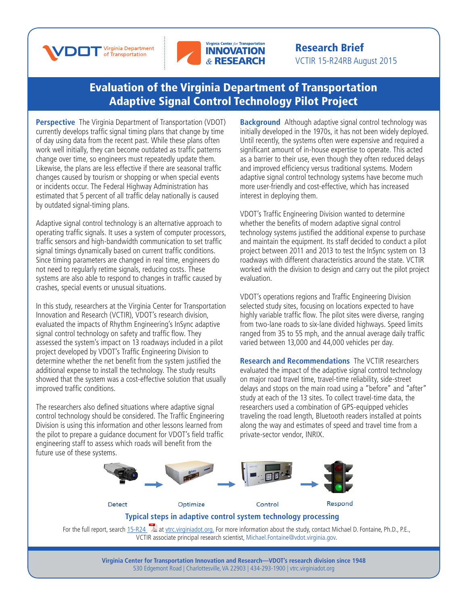



## Research Brief VCTIR 15-R24RB August 2015

## [Evaluation of the Virginia Department of Transportation](http://www.virginiadot.org/vtrc/main/online_reports/pdf/15-r24.pdf)  [Adaptive Signal Control Technology Pilot Project](http://www.virginiadot.org/vtrc/main/online_reports/pdf/15-r24.pdf)

**Perspective** The Virginia Department of Transportation (VDOT) currently develops traffic signal timing plans that change by time of day using data from the recent past. While these plans often work well initially, they can become outdated as traffic patterns change over time, so engineers must repeatedly update them. Likewise, the plans are less effective if there are seasonal traffic changes caused by tourism or shopping or when special events or incidents occur. The Federal Highway Administration has estimated that 5 percent of all traffic delay nationally is caused by outdated signal-timing plans.

Adaptive signal control technology is an alternative approach to operating traffic signals. It uses a system of computer processors, traffic sensors and high-bandwidth communication to set traffic signal timings dynamically based on current traffic conditions. Since timing parameters are changed in real time, engineers do not need to regularly retime signals, reducing costs. These systems are also able to respond to changes in traffic caused by crashes, special events or unusual situations.

In this study, researchers at the Virginia Center for Transportation Innovation and Research (VCTIR), VDOT's research division, evaluated the impacts of Rhythm Engineering's InSync adaptive signal control technology on safety and traffic flow. They assessed the system's impact on 13 roadways included in a pilot project developed by VDOT's Traffic Engineering Division to determine whether the net benefit from the system justified the additional expense to install the technology. The study results showed that the system was a cost-effective solution that usually improved traffic conditions.

The researchers also defined situations where adaptive signal control technology should be considered. The Traffic Engineering Division is using this information and other lessons learned from the pilot to prepare a guidance document for VDOT's field traffic engineering staff to assess which roads will benefit from the future use of these systems.

**Background** Although adaptive signal control technology was initially developed in the 1970s, it has not been widely deployed. Until recently, the systems often were expensive and required a significant amount of in-house expertise to operate. This acted as a barrier to their use, even though they often reduced delays and improved efficiency versus traditional systems. Modern adaptive signal control technology systems have become much more user-friendly and cost-effective, which has increased interest in deploying them.

VDOT's Traffic Engineering Division wanted to determine whether the benefits of modern adaptive signal control technology systems justified the additional expense to purchase and maintain the equipment. Its staff decided to conduct a pilot project between 2011 and 2013 to test the InSync system on 13 roadways with different characteristics around the state. VCTIR worked with the division to design and carry out the pilot project evaluation.

VDOT's operations regions and Traffic Engineering Division selected study sites, focusing on locations expected to have highly variable traffic flow. The pilot sites were diverse, ranging from two-lane roads to six-lane divided highways. Speed limits ranged from 35 to 55 mph, and the annual average daily traffic varied between 13,000 and 44,000 vehicles per day.

**Research and Recommendations** The VCTIR researchers evaluated the impact of the adaptive signal control technology on major road travel time, travel-time reliability, side-street delays and stops on the main road using a "before" and "after" study at each of the 13 sites. To collect travel-time data, the researchers used a combination of GPS-equipped vehicles traveling the road length, Bluetooth readers installed at points along the way and estimates of speed and travel time from a private-sector vendor, INRIX.



For the full report, search [15-R](http://www.virginiadot.org/vtrc/main/online_reports/pdf/15-r24.pdf)24 [a](http://www.virginiadot.org/vtrc/main/online_reports/pdf/15-r24.pdf)t [vtrc.virginiadot.org](http://vtrc.virginiadot.org/). For more information about the study, contact Michael D. Fontaine, Ph.D., P.E., VCTIR associate principal research scientist, Michael.Fontain[e@vdot.virginia.gov](mailto:michael.fontaine%40vdot.virginia.gov?subject=).

> **Virginia Center for Transportation Innovation and Research—VDOT's research division since 1948** 530 Edgemont Road | Charlottesville, VA 22903 | 434-293-1900 | [vtrc.virginiadot.org](http://vtrc.virginiadot.org)